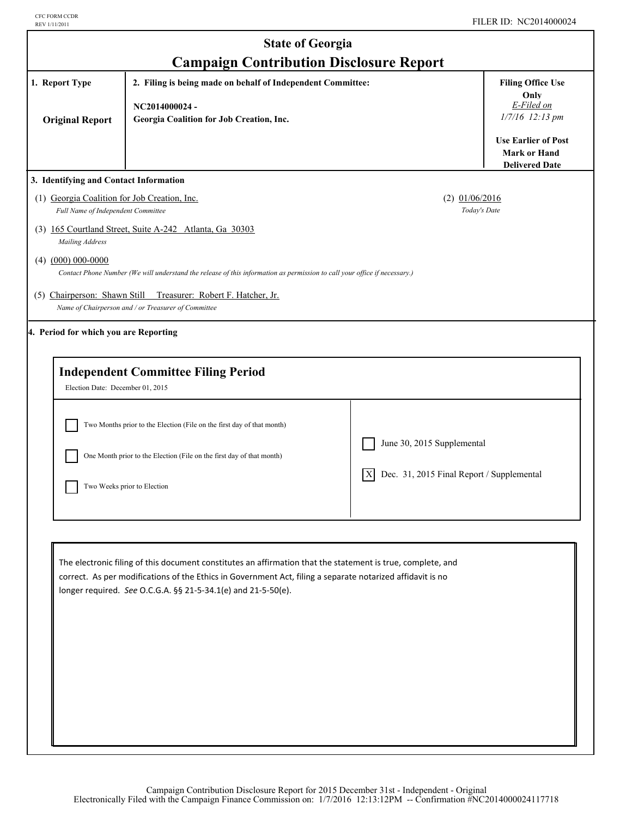| <b>State of Georgia</b>                                                                                                                                             |                                                                                                                                                                                                                                                                                            |                                                 |                                                                            |  |
|---------------------------------------------------------------------------------------------------------------------------------------------------------------------|--------------------------------------------------------------------------------------------------------------------------------------------------------------------------------------------------------------------------------------------------------------------------------------------|-------------------------------------------------|----------------------------------------------------------------------------|--|
| <b>Campaign Contribution Disclosure Report</b><br>1. Report Type<br>2. Filing is being made on behalf of Independent Committee:<br><b>Filing Office Use</b><br>Only |                                                                                                                                                                                                                                                                                            |                                                 |                                                                            |  |
| <b>Original Report</b>                                                                                                                                              | NC2014000024-<br>Georgia Coalition for Job Creation, Inc.                                                                                                                                                                                                                                  |                                                 | E-Filed on<br>1/7/16 12:13 pm                                              |  |
|                                                                                                                                                                     |                                                                                                                                                                                                                                                                                            |                                                 | <b>Use Earlier of Post</b><br><b>Mark or Hand</b><br><b>Delivered Date</b> |  |
| 3. Identifying and Contact Information                                                                                                                              |                                                                                                                                                                                                                                                                                            |                                                 |                                                                            |  |
| (1) Georgia Coalition for Job Creation, Inc.<br>Full Name of Independent Committee                                                                                  |                                                                                                                                                                                                                                                                                            | $(2)$ 01/06/2016<br>Today's Date                |                                                                            |  |
| Mailing Address                                                                                                                                                     | (3) 165 Courtland Street, Suite A-242 Atlanta, Ga 30303                                                                                                                                                                                                                                    |                                                 |                                                                            |  |
| $(4)$ $(000)$ 000-0000                                                                                                                                              | Contact Phone Number (We will understand the release of this information as permission to call your office if necessary.)                                                                                                                                                                  |                                                 |                                                                            |  |
|                                                                                                                                                                     | (5) Chairperson: Shawn Still Treasurer: Robert F. Hatcher, Jr.<br>Name of Chairperson and / or Treasurer of Committee                                                                                                                                                                      |                                                 |                                                                            |  |
| 4. Period for which you are Reporting                                                                                                                               |                                                                                                                                                                                                                                                                                            |                                                 |                                                                            |  |
| Election Date: December 01, 2015                                                                                                                                    | <b>Independent Committee Filing Period</b>                                                                                                                                                                                                                                                 |                                                 |                                                                            |  |
|                                                                                                                                                                     | Two Months prior to the Election (File on the first day of that month)                                                                                                                                                                                                                     |                                                 |                                                                            |  |
|                                                                                                                                                                     | One Month prior to the Election (File on the first day of that month)                                                                                                                                                                                                                      | June 30, 2015 Supplemental                      |                                                                            |  |
|                                                                                                                                                                     | Two Weeks prior to Election                                                                                                                                                                                                                                                                | Dec. 31, 2015 Final Report / Supplemental<br> X |                                                                            |  |
|                                                                                                                                                                     |                                                                                                                                                                                                                                                                                            |                                                 |                                                                            |  |
|                                                                                                                                                                     | The electronic filing of this document constitutes an affirmation that the statement is true, complete, and<br>correct. As per modifications of the Ethics in Government Act, filing a separate notarized affidavit is no<br>longer required. See O.C.G.A. §§ 21-5-34.1(e) and 21-5-50(e). |                                                 |                                                                            |  |
|                                                                                                                                                                     |                                                                                                                                                                                                                                                                                            |                                                 |                                                                            |  |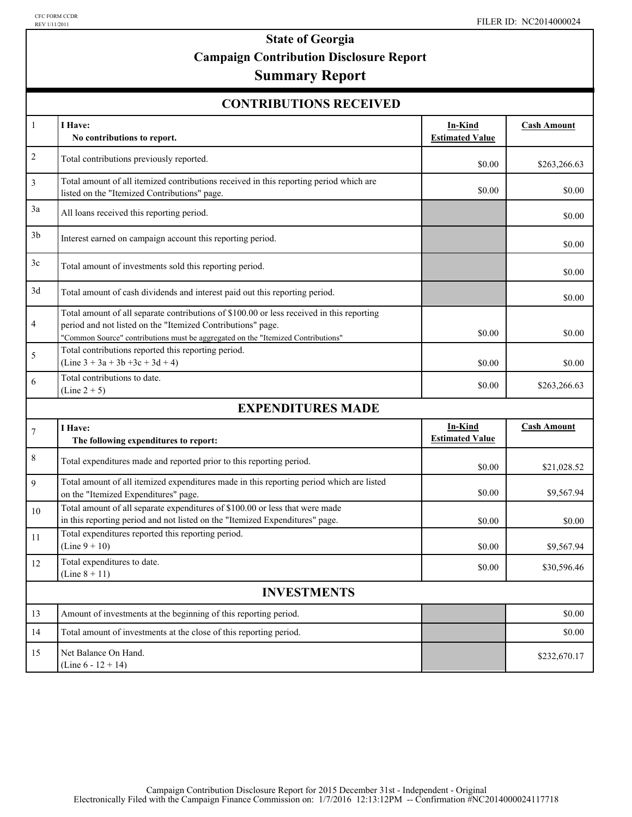# **State of Georgia Campaign Contribution Disclosure Report**

## **Summary Report**

#### **CONTRIBUTIONS RECEIVED**

| $\mathbf{1}$       | I Have:<br>No contributions to report.                                                                                                                                                                                                       | In-Kind<br><b>Estimated Value</b>        | <b>Cash Amount</b> |  |
|--------------------|----------------------------------------------------------------------------------------------------------------------------------------------------------------------------------------------------------------------------------------------|------------------------------------------|--------------------|--|
| $\overline{c}$     | Total contributions previously reported.                                                                                                                                                                                                     | \$0.00                                   | \$263,266.63       |  |
| $\mathfrak{Z}$     | Total amount of all itemized contributions received in this reporting period which are<br>listed on the "Itemized Contributions" page.                                                                                                       | \$0.00                                   | \$0.00             |  |
| 3a                 | All loans received this reporting period.                                                                                                                                                                                                    |                                          | \$0.00             |  |
| 3 <sub>b</sub>     | Interest earned on campaign account this reporting period.                                                                                                                                                                                   |                                          | \$0.00             |  |
| 3c                 | Total amount of investments sold this reporting period.                                                                                                                                                                                      |                                          | \$0.00             |  |
| 3d                 | Total amount of cash dividends and interest paid out this reporting period.                                                                                                                                                                  |                                          | \$0.00             |  |
| 4                  | Total amount of all separate contributions of \$100.00 or less received in this reporting<br>period and not listed on the "Itemized Contributions" page.<br>"Common Source" contributions must be aggregated on the "Itemized Contributions" | \$0.00                                   | \$0.00             |  |
| 5                  | Total contributions reported this reporting period.<br>$(Line 3 + 3a + 3b + 3c + 3d + 4)$                                                                                                                                                    | \$0.00                                   | \$0.00             |  |
| 6                  | Total contributions to date.<br>$(Line 2 + 5)$                                                                                                                                                                                               | \$0.00                                   | \$263,266.63       |  |
|                    | <b>EXPENDITURES MADE</b>                                                                                                                                                                                                                     |                                          |                    |  |
| $\boldsymbol{7}$   | I Have:<br>The following expenditures to report:                                                                                                                                                                                             | <b>In-Kind</b><br><b>Estimated Value</b> | <b>Cash Amount</b> |  |
| $\,$ 8 $\,$        | Total expenditures made and reported prior to this reporting period.                                                                                                                                                                         | \$0.00                                   | \$21,028.52        |  |
| 9                  | Total amount of all itemized expenditures made in this reporting period which are listed<br>on the "Itemized Expenditures" page.                                                                                                             | \$0.00                                   | \$9,567.94         |  |
| 10                 | Total amount of all separate expenditures of \$100.00 or less that were made<br>in this reporting period and not listed on the "Itemized Expenditures" page.                                                                                 | \$0.00                                   | \$0.00             |  |
| 11                 | Total expenditures reported this reporting period.<br>(Line $9 + 10$ )                                                                                                                                                                       | \$0.00                                   | \$9,567.94         |  |
| 12                 | Total expenditures to date.<br>(Line $8 + 11$ )                                                                                                                                                                                              | \$0.00                                   | \$30,596.46        |  |
| <b>INVESTMENTS</b> |                                                                                                                                                                                                                                              |                                          |                    |  |
| 13                 | Amount of investments at the beginning of this reporting period.                                                                                                                                                                             |                                          | \$0.00             |  |
| 14                 | Total amount of investments at the close of this reporting period.                                                                                                                                                                           |                                          | \$0.00             |  |
| 15                 | Net Balance On Hand.<br>(Line $6 - 12 + 14$ )                                                                                                                                                                                                |                                          | \$232,670.17       |  |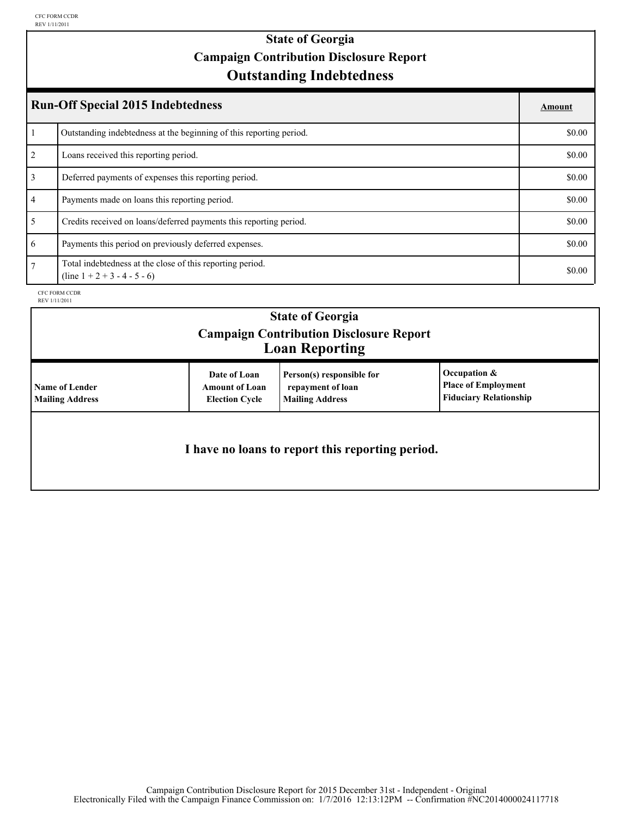## **Outstanding Indebtedness State of Georgia Campaign Contribution Disclosure Report**

| <b>Run-Off Special 2015 Indebtedness</b> |                                                                                             |        |
|------------------------------------------|---------------------------------------------------------------------------------------------|--------|
|                                          | Outstanding indebtedness at the beginning of this reporting period.                         | \$0.00 |
| 2                                        | Loans received this reporting period.                                                       | \$0.00 |
| 3                                        | Deferred payments of expenses this reporting period.                                        | \$0.00 |
| $\overline{4}$                           | Payments made on loans this reporting period.                                               | \$0.00 |
| 5                                        | Credits received on loans/deferred payments this reporting period.                          | \$0.00 |
| 6                                        | Payments this period on previously deferred expenses.                                       | \$0.00 |
| 7                                        | Total indebtedness at the close of this reporting period.<br>$(line 1 + 2 + 3 - 4 - 5 - 6)$ | \$0.00 |

CFC FORM CCDR REV 1/11/2011

|                                                 |                                                                | <b>State of Georgia</b><br><b>Campaign Contribution Disclosure Report</b><br><b>Loan Reporting</b> |                                                                             |
|-------------------------------------------------|----------------------------------------------------------------|----------------------------------------------------------------------------------------------------|-----------------------------------------------------------------------------|
| <b>Name of Lender</b><br><b>Mailing Address</b> | Date of Loan<br><b>Amount of Loan</b><br><b>Election Cycle</b> | Person(s) responsible for<br>repayment of loan<br><b>Mailing Address</b>                           | Occupation &<br><b>Place of Employment</b><br><b>Fiduciary Relationship</b> |
|                                                 |                                                                | I have no loans to report this reporting period.                                                   |                                                                             |